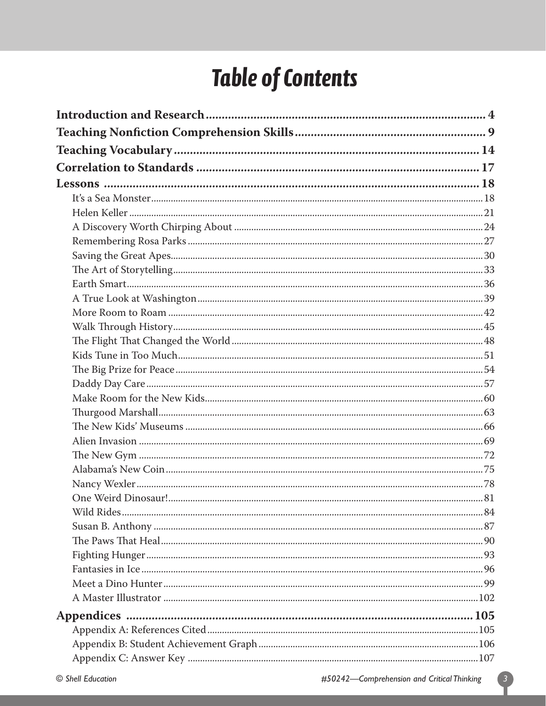# **Table of Contents**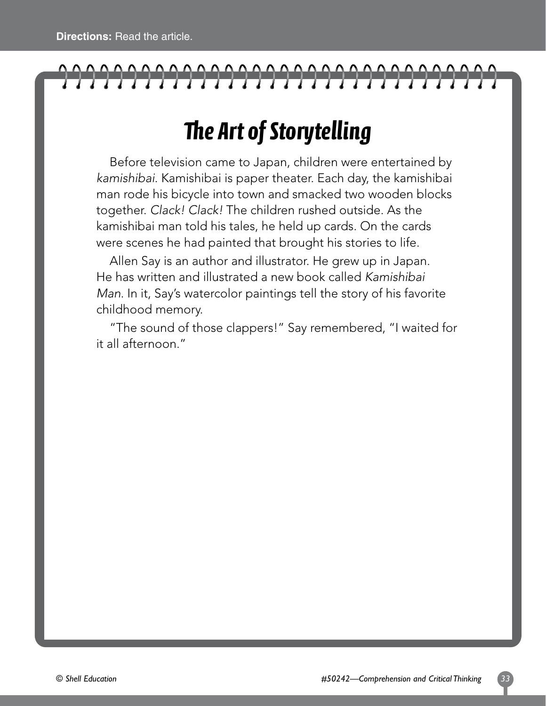# 

### *The Art of Storytelling*

Before television came to Japan, children were entertained by *kamishibai*. Kamishibai is paper theater. Each day, the kamishibai man rode his bicycle into town and smacked two wooden blocks together. *Clack! Clack!* The children rushed outside. As the kamishibai man told his tales, he held up cards. On the cards were scenes he had painted that brought his stories to life.

Allen Say is an author and illustrator. He grew up in Japan. He has written and illustrated a new book called *Kamishibai Man*. In it, Say's watercolor paintings tell the story of his favorite childhood memory.

"The sound of those clappers!" Say remembered, "I waited for it all afternoon."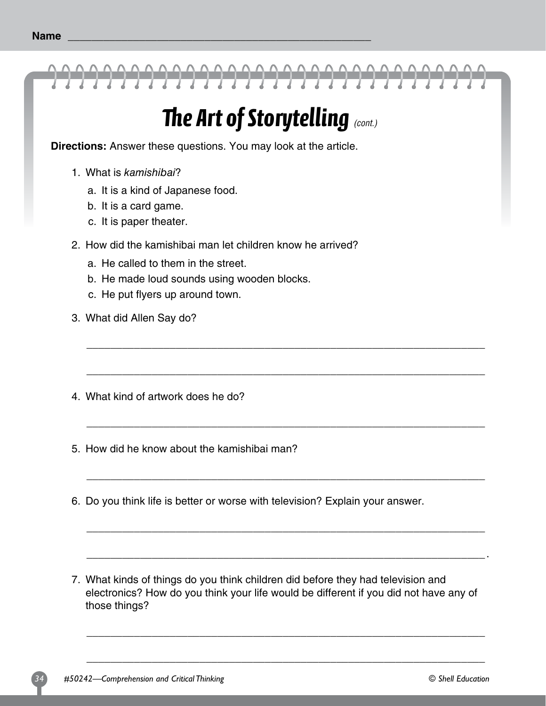

### *The Art of Storytelling (cont.)*

**Directions:** Answer these questions. You may look at the article.

- 1. What is kamishibai?
	- a. It is a kind of Japanese food.
	- b. It is a card game.
	- c. It is paper theater.
- 2. How did the kamishibai man let children know he arrived?
	- a. He called to them in the street.
	- b. He made loud sounds using wooden blocks.
	- c. He put flyers up around town.
- 3. What did Allen Say do?
- 4. What kind of artwork does he do?
- 5. How did he know about the kamishibai man?
- 6. Do you think life is better or worse with television? Explain your answer.
- 7. What kinds of things do you think children did before they had television and electronics? How do you think your life would be different if you did not have any of those things?

\_\_\_\_\_\_\_\_\_\_\_\_\_\_\_\_\_\_\_\_\_\_\_\_\_\_\_\_\_\_\_\_\_\_\_\_\_\_\_\_\_\_\_\_\_\_\_\_\_\_\_\_\_\_\_\_\_\_\_\_\_\_\_\_\_\_\_

\_\_\_\_\_\_\_\_\_\_\_\_\_\_\_\_\_\_\_\_\_\_\_\_\_\_\_\_\_\_\_\_\_\_\_\_\_\_\_\_\_\_\_\_\_\_\_\_\_\_\_\_\_\_\_\_\_\_\_\_\_\_\_\_\_\_\_

\_\_\_\_\_\_\_\_\_\_\_\_\_\_\_\_\_\_\_\_\_\_\_\_\_\_\_\_\_\_\_\_\_\_\_\_\_\_\_\_\_\_\_\_\_\_\_\_\_\_\_\_\_\_\_\_\_\_\_\_\_\_\_\_\_\_\_

\_\_\_\_\_\_\_\_\_\_\_\_\_\_\_\_\_\_\_\_\_\_\_\_\_\_\_\_\_\_\_\_\_\_\_\_\_\_\_\_\_\_\_\_\_\_\_\_\_\_\_\_\_\_\_\_\_\_\_\_\_\_\_\_\_\_\_

\_\_\_\_\_\_\_\_\_\_\_\_\_\_\_\_\_\_\_\_\_\_\_\_\_\_\_\_\_\_\_\_\_\_\_\_\_\_\_\_\_\_\_\_\_\_\_\_\_\_\_\_\_\_\_\_\_\_\_\_\_\_\_\_\_\_\_

\_\_\_\_\_\_\_\_\_\_\_\_\_\_\_\_\_\_\_\_\_\_\_\_\_\_\_\_\_\_\_\_\_\_\_\_\_\_\_\_\_\_\_\_\_\_\_\_\_\_\_\_\_\_\_\_\_\_\_\_\_\_\_\_\_\_\_.

\_\_\_\_\_\_\_\_\_\_\_\_\_\_\_\_\_\_\_\_\_\_\_\_\_\_\_\_\_\_\_\_\_\_\_\_\_\_\_\_\_\_\_\_\_\_\_\_\_\_\_\_\_\_\_\_\_\_\_\_\_\_\_\_\_\_\_

\_\_\_\_\_\_\_\_\_\_\_\_\_\_\_\_\_\_\_\_\_\_\_\_\_\_\_\_\_\_\_\_\_\_\_\_\_\_\_\_\_\_\_\_\_\_\_\_\_\_\_\_\_\_\_\_\_\_\_\_\_\_\_\_\_\_\_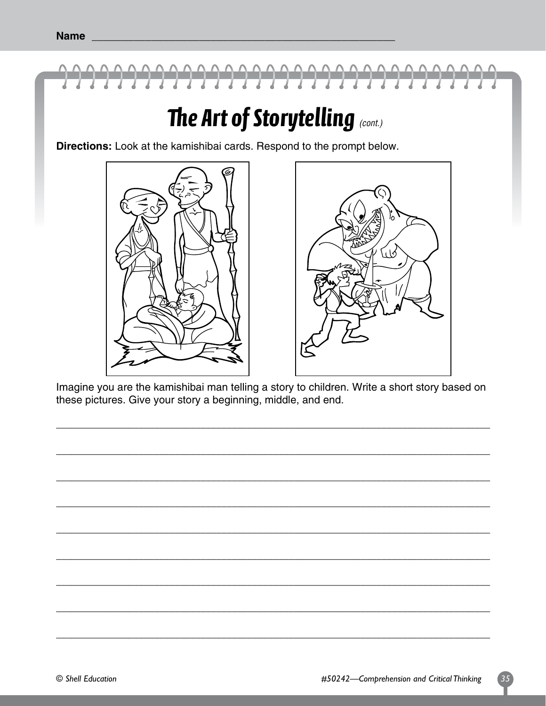

#### The Art of Storytelling (cont.)

Directions: Look at the kamishibai cards. Respond to the prompt below.





Imagine you are the kamishibai man telling a story to children. Write a short story based on these pictures. Give your story a beginning, middle, and end.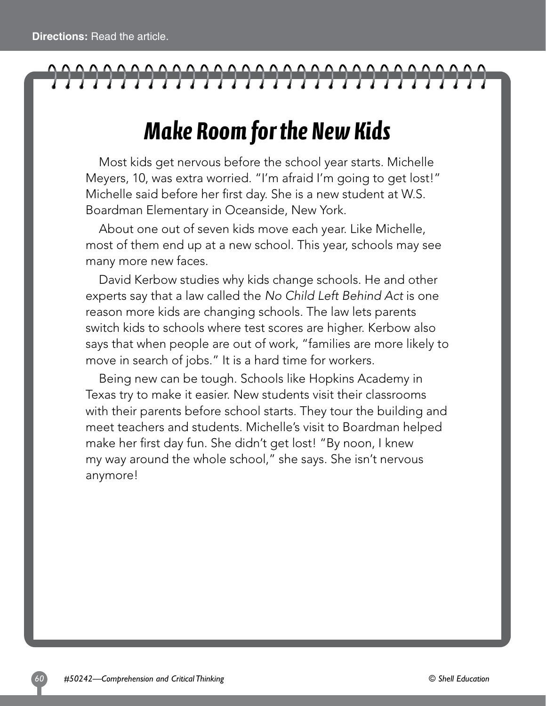## 

### *Make Room for the New Kids*

Most kids get nervous before the school year starts. Michelle Meyers, 10, was extra worried. "I'm afraid I'm going to get lost!" Michelle said before her first day. She is a new student at W.S. Boardman Elementary in Oceanside, New York.

About one out of seven kids move each year. Like Michelle, most of them end up at a new school. This year, schools may see many more new faces.

David Kerbow studies why kids change schools. He and other experts say that a law called the *No Child Left Behind Act* is one reason more kids are changing schools. The law lets parents switch kids to schools where test scores are higher. Kerbow also says that when people are out of work, "families are more likely to move in search of jobs." It is a hard time for workers.

Being new can be tough. Schools like Hopkins Academy in Texas try to make it easier. New students visit their classrooms with their parents before school starts. They tour the building and meet teachers and students. Michelle's visit to Boardman helped make her first day fun. She didn't get lost! "By noon, I knew my way around the whole school," she says. She isn't nervous anymore!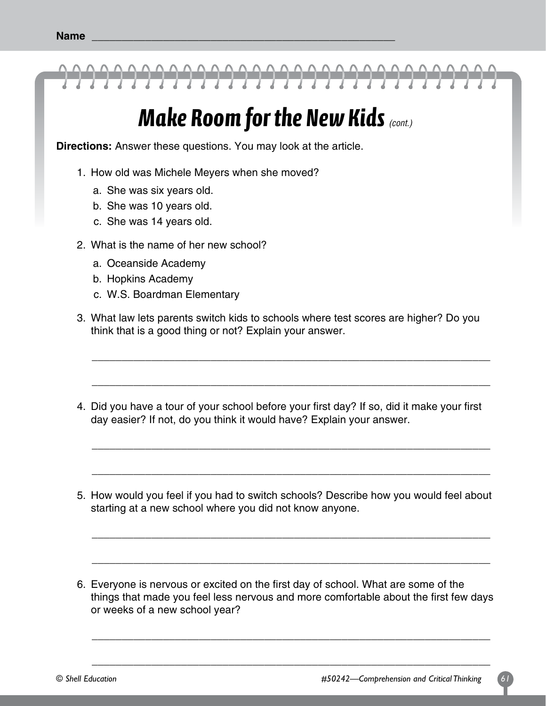

#### *Make Room for the New Kids (cont.)*

**Directions:** Answer these questions. You may look at the article.

- 1. How old was Michele Meyers when she moved?
	- a. She was six years old.
	- b. She was 10 years old.
	- c. She was 14 years old.
- 2. What is the name of her new school?
	- a. Oceanside Academy
	- b. Hopkins Academy
	- c. W.S. Boardman Elementary
- 3. What law lets parents switch kids to schools where test scores are higher? Do you think that is a good thing or not? Explain your answer.

\_\_\_\_\_\_\_\_\_\_\_\_\_\_\_\_\_\_\_\_\_\_\_\_\_\_\_\_\_\_\_\_\_\_\_\_\_\_\_\_\_\_\_\_\_\_\_\_\_\_\_\_\_\_\_\_\_\_\_\_\_\_\_\_\_\_\_

\_\_\_\_\_\_\_\_\_\_\_\_\_\_\_\_\_\_\_\_\_\_\_\_\_\_\_\_\_\_\_\_\_\_\_\_\_\_\_\_\_\_\_\_\_\_\_\_\_\_\_\_\_\_\_\_\_\_\_\_\_\_\_\_\_\_\_

\_\_\_\_\_\_\_\_\_\_\_\_\_\_\_\_\_\_\_\_\_\_\_\_\_\_\_\_\_\_\_\_\_\_\_\_\_\_\_\_\_\_\_\_\_\_\_\_\_\_\_\_\_\_\_\_\_\_\_\_\_\_\_\_\_\_\_

\_\_\_\_\_\_\_\_\_\_\_\_\_\_\_\_\_\_\_\_\_\_\_\_\_\_\_\_\_\_\_\_\_\_\_\_\_\_\_\_\_\_\_\_\_\_\_\_\_\_\_\_\_\_\_\_\_\_\_\_\_\_\_\_\_\_\_

\_\_\_\_\_\_\_\_\_\_\_\_\_\_\_\_\_\_\_\_\_\_\_\_\_\_\_\_\_\_\_\_\_\_\_\_\_\_\_\_\_\_\_\_\_\_\_\_\_\_\_\_\_\_\_\_\_\_\_\_\_\_\_\_\_\_\_

\_\_\_\_\_\_\_\_\_\_\_\_\_\_\_\_\_\_\_\_\_\_\_\_\_\_\_\_\_\_\_\_\_\_\_\_\_\_\_\_\_\_\_\_\_\_\_\_\_\_\_\_\_\_\_\_\_\_\_\_\_\_\_\_\_\_\_

- 4. Did you have a tour of your school before your first day? If so, did it make your first day easier? If not, do you think it would have? Explain your answer.
- 5. How would you feel if you had to switch schools? Describe how you would feel about starting at a new school where you did not know anyone.
- 6. Everyone is nervous or excited on the first day of school. What are some of the things that made you feel less nervous and more comfortable about the first few days or weeks of a new school year?

\_\_\_\_\_\_\_\_\_\_\_\_\_\_\_\_\_\_\_\_\_\_\_\_\_\_\_\_\_\_\_\_\_\_\_\_\_\_\_\_\_\_\_\_\_\_\_\_\_\_\_\_\_\_\_\_\_\_\_\_\_\_\_\_\_\_\_

\_\_\_\_\_\_\_\_\_\_\_\_\_\_\_\_\_\_\_\_\_\_\_\_\_\_\_\_\_\_\_\_\_\_\_\_\_\_\_\_\_\_\_\_\_\_\_\_\_\_\_\_\_\_\_\_\_\_\_\_\_\_\_\_\_\_\_